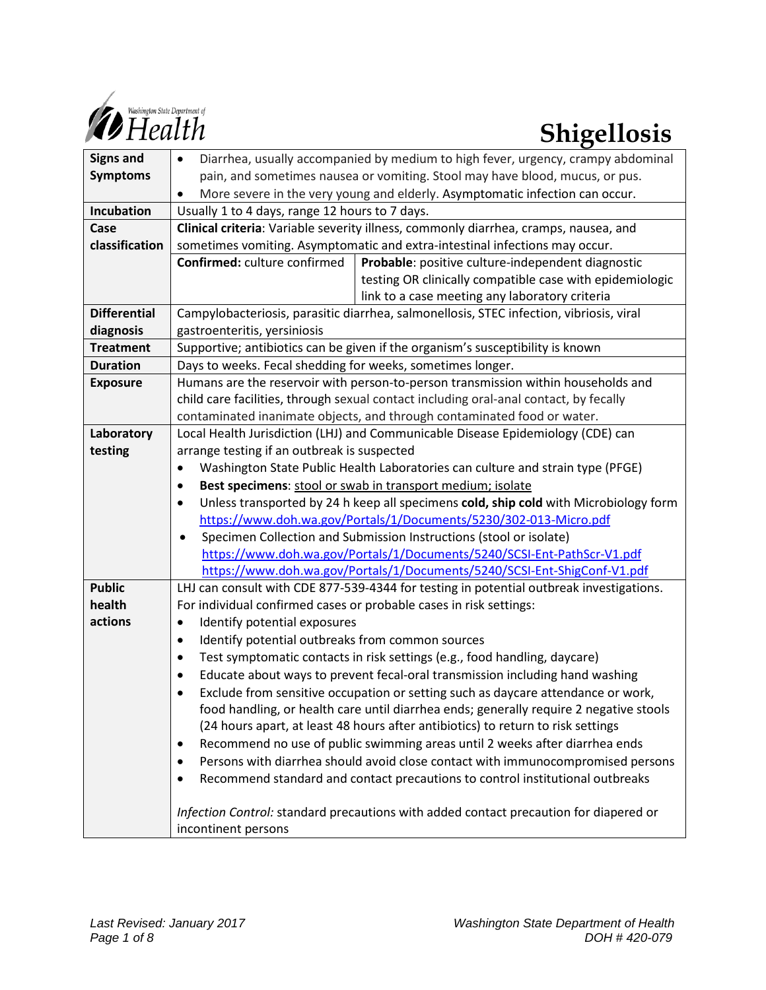

| <b>Signs and</b>    | Diarrhea, usually accompanied by medium to high fever, urgency, crampy abdominal<br>$\bullet$     |
|---------------------|---------------------------------------------------------------------------------------------------|
| <b>Symptoms</b>     | pain, and sometimes nausea or vomiting. Stool may have blood, mucus, or pus.                      |
|                     | More severe in the very young and elderly. Asymptomatic infection can occur.<br>$\bullet$         |
| Incubation          | Usually 1 to 4 days, range 12 hours to 7 days.                                                    |
| Case                | Clinical criteria: Variable severity illness, commonly diarrhea, cramps, nausea, and              |
| classification      | sometimes vomiting. Asymptomatic and extra-intestinal infections may occur.                       |
|                     | Probable: positive culture-independent diagnostic<br>Confirmed: culture confirmed                 |
|                     | testing OR clinically compatible case with epidemiologic                                          |
|                     | link to a case meeting any laboratory criteria                                                    |
| <b>Differential</b> | Campylobacteriosis, parasitic diarrhea, salmonellosis, STEC infection, vibriosis, viral           |
| diagnosis           | gastroenteritis, yersiniosis                                                                      |
| <b>Treatment</b>    | Supportive; antibiotics can be given if the organism's susceptibility is known                    |
| <b>Duration</b>     | Days to weeks. Fecal shedding for weeks, sometimes longer.                                        |
| <b>Exposure</b>     | Humans are the reservoir with person-to-person transmission within households and                 |
|                     | child care facilities, through sexual contact including oral-anal contact, by fecally             |
|                     | contaminated inanimate objects, and through contaminated food or water.                           |
| Laboratory          | Local Health Jurisdiction (LHJ) and Communicable Disease Epidemiology (CDE) can                   |
| testing             | arrange testing if an outbreak is suspected                                                       |
|                     | Washington State Public Health Laboratories can culture and strain type (PFGE)<br>$\bullet$       |
|                     | Best specimens: stool or swab in transport medium; isolate<br>$\bullet$                           |
|                     | Unless transported by 24 h keep all specimens cold, ship cold with Microbiology form<br>$\bullet$ |
|                     | https://www.doh.wa.gov/Portals/1/Documents/5230/302-013-Micro.pdf                                 |
|                     | Specimen Collection and Submission Instructions (stool or isolate)<br>$\bullet$                   |
|                     | https://www.doh.wa.gov/Portals/1/Documents/5240/SCSI-Ent-PathScr-V1.pdf                           |
|                     | https://www.doh.wa.gov/Portals/1/Documents/5240/SCSI-Ent-ShigConf-V1.pdf                          |
| <b>Public</b>       | LHJ can consult with CDE 877-539-4344 for testing in potential outbreak investigations.           |
| health              | For individual confirmed cases or probable cases in risk settings:                                |
| actions             | Identify potential exposures<br>$\bullet$                                                         |
|                     | Identify potential outbreaks from common sources<br>$\bullet$                                     |
|                     | Test symptomatic contacts in risk settings (e.g., food handling, daycare)<br>$\bullet$            |
|                     | Educate about ways to prevent fecal-oral transmission including hand washing<br>$\bullet$         |
|                     | Exclude from sensitive occupation or setting such as daycare attendance or work,<br>$\bullet$     |
|                     | food handling, or health care until diarrhea ends; generally require 2 negative stools            |
|                     | (24 hours apart, at least 48 hours after antibiotics) to return to risk settings                  |
|                     | Recommend no use of public swimming areas until 2 weeks after diarrhea ends<br>٠                  |
|                     | Persons with diarrhea should avoid close contact with immunocompromised persons                   |
|                     | Recommend standard and contact precautions to control institutional outbreaks<br>٠                |
|                     | Infection Control: standard precautions with added contact precaution for diapered or             |
|                     | incontinent persons                                                                               |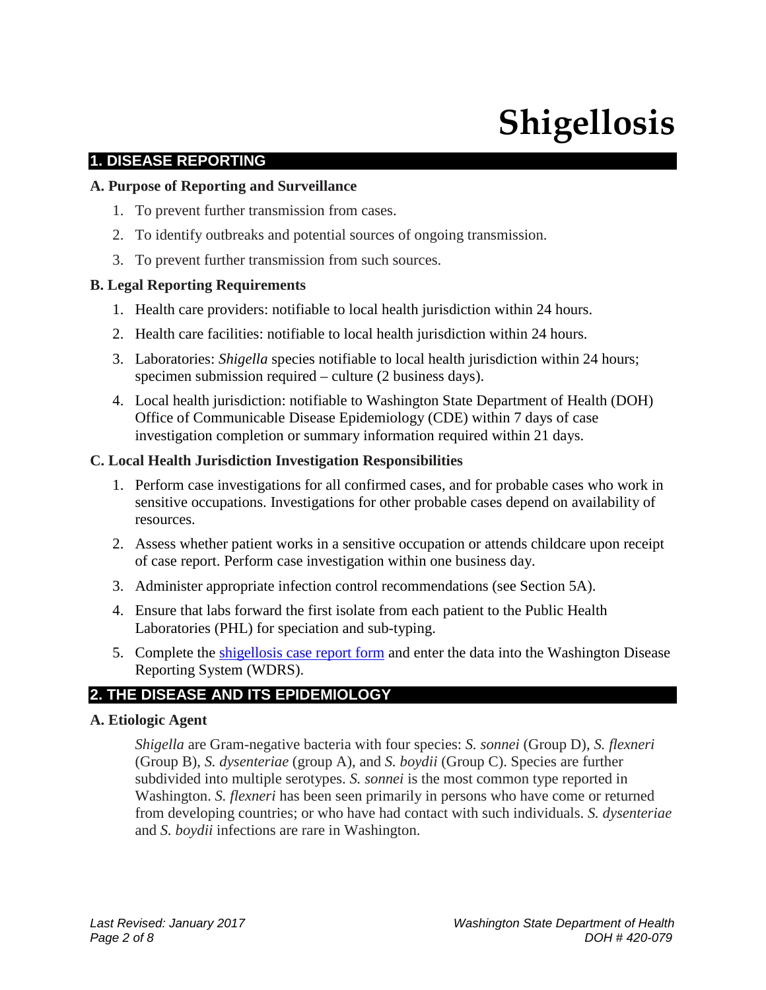# **Shigellosis**

# **1. DISEASE REPORTING**

#### **A. Purpose of Reporting and Surveillance**

- 1. To prevent further transmission from cases.
- 2. To identify outbreaks and potential sources of ongoing transmission.
- 3. To prevent further transmission from such sources.

#### **B. Legal Reporting Requirements**

- 1. Health care providers: notifiable to local health jurisdiction within 24 hours.
- 2. Health care facilities: notifiable to local health jurisdiction within 24 hours.
- 3. Laboratories: *Shigella* species notifiable to local health jurisdiction within 24 hours; specimen submission required – culture (2 business days).
- 4. Local health jurisdiction: notifiable to Washington State Department of Health (DOH) Office of Communicable Disease Epidemiology (CDE) within 7 days of case investigation completion or summary information required within 21 days.

#### **C. Local Health Jurisdiction Investigation Responsibilities**

- 1. Perform case investigations for all confirmed cases, and for probable cases who work in sensitive occupations. Investigations for other probable cases depend on availability of resources.
- 2. Assess whether patient works in a sensitive occupation or attends childcare upon receipt of case report. Perform case investigation within one business day.
- 3. Administer appropriate infection control recommendations (see Section 5A).
- 4. Ensure that labs forward the first isolate from each patient to the Public Health Laboratories (PHL) for speciation and sub-typing.
- 5. Complete the shigellosis [case report form](https://www.doh.wa.gov/Portals/1/Documents/5100/210-047-ReportForm-Shigellosis.pdf) and enter the data into the Washington Disease Reporting System (WDRS).

# **2. THE DISEASE AND ITS EPIDEMIOLOGY**

#### **A. Etiologic Agent**

*Shigella* are Gram-negative bacteria with four species: *S. sonnei* (Group D), *S. flexneri*  (Group B), *S. dysenteriae* (group A), and *S. boydii* (Group C). Species are further subdivided into multiple serotypes. *S. sonnei* is the most common type reported in Washington. *S. flexneri* has been seen primarily in persons who have come or returned from developing countries; or who have had contact with such individuals. *S. dysenteriae* and *S. boydii* infections are rare in Washington.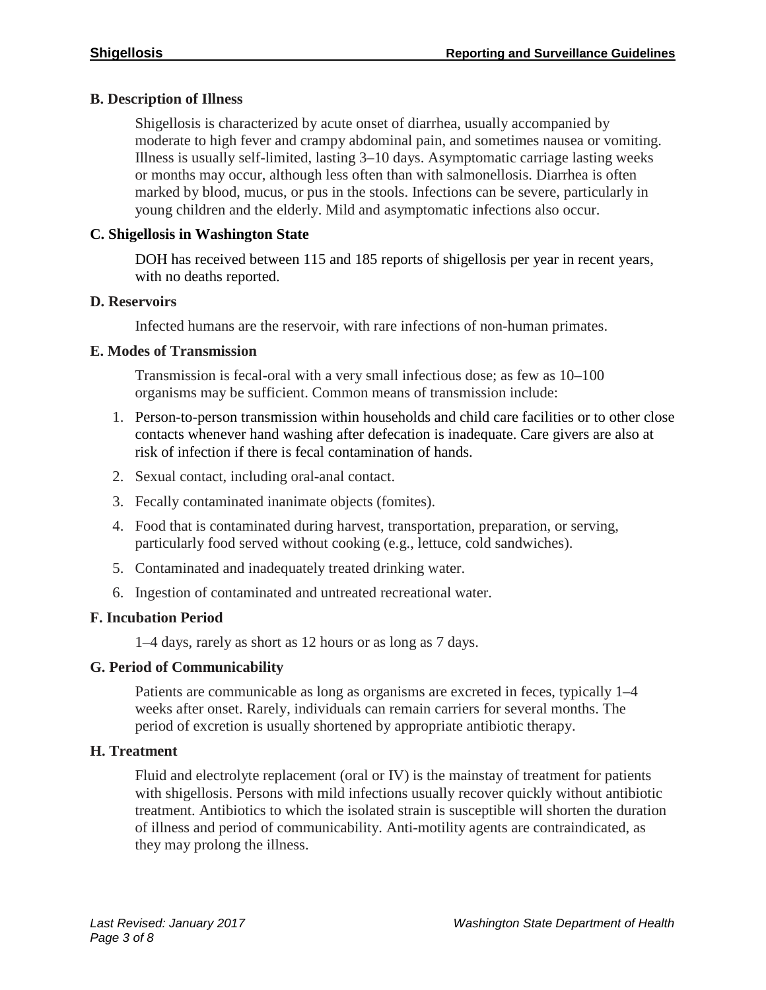# **B. Description of Illness**

Shigellosis is characterized by acute onset of diarrhea, usually accompanied by moderate to high fever and crampy abdominal pain, and sometimes nausea or vomiting. Illness is usually self-limited, lasting 3–10 days. Asymptomatic carriage lasting weeks or months may occur, although less often than with salmonellosis. Diarrhea is often marked by blood, mucus, or pus in the stools. Infections can be severe, particularly in young children and the elderly. Mild and asymptomatic infections also occur.

# **C. Shigellosis in Washington State**

DOH has received between 115 and 185 reports of shigellosis per year in recent years, with no deaths reported.

# **D. Reservoirs**

Infected humans are the reservoir, with rare infections of non-human primates.

# **E. Modes of Transmission**

Transmission is fecal-oral with a very small infectious dose; as few as 10–100 organisms may be sufficient. Common means of transmission include:

- 1. Person-to-person transmission within households and child care facilities or to other close contacts whenever hand washing after defecation is inadequate. Care givers are also at risk of infection if there is fecal contamination of hands.
- 2. Sexual contact, including oral-anal contact.
- 3. Fecally contaminated inanimate objects (fomites).
- 4. Food that is contaminated during harvest, transportation, preparation, or serving, particularly food served without cooking (e.g., lettuce, cold sandwiches).
- 5. Contaminated and inadequately treated drinking water.
- 6. Ingestion of contaminated and untreated recreational water.

# **F. Incubation Period**

1–4 days, rarely as short as 12 hours or as long as 7 days.

# **G. Period of Communicability**

Patients are communicable as long as organisms are excreted in feces, typically 1–4 weeks after onset. Rarely, individuals can remain carriers for several months. The period of excretion is usually shortened by appropriate antibiotic therapy.

# **H. Treatment**

Fluid and electrolyte replacement (oral or IV) is the mainstay of treatment for patients with shigellosis. Persons with mild infections usually recover quickly without antibiotic treatment. Antibiotics to which the isolated strain is susceptible will shorten the duration of illness and period of communicability. Anti-motility agents are contraindicated, as they may prolong the illness.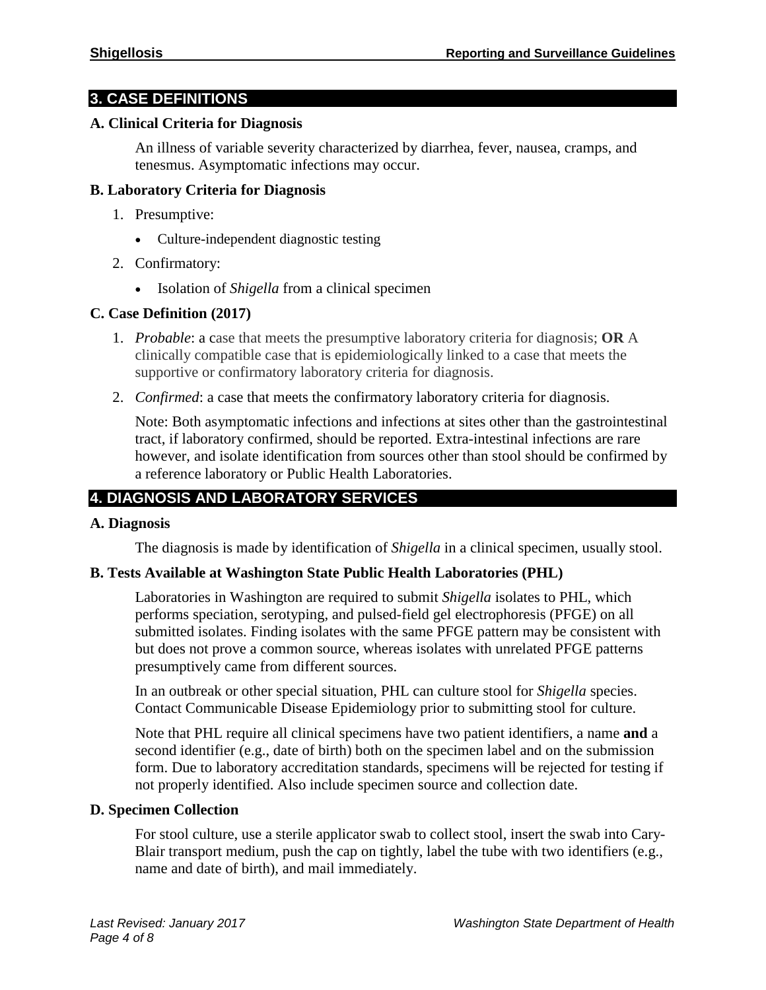# **3. CASE DEFINITIONS**

#### **A. Clinical Criteria for Diagnosis**

An illness of variable severity characterized by diarrhea, fever, nausea, cramps, and tenesmus. Asymptomatic infections may occur.

#### **B. Laboratory Criteria for Diagnosis**

- 1. Presumptive:
	- Culture-independent diagnostic testing
- 2. Confirmatory:
	- Isolation of *Shigella* from a clinical specimen

#### **C. Case Definition (2017)**

- 1. *Probable*: a case that meets the presumptive laboratory criteria for diagnosis; **OR** A clinically compatible case that is epidemiologically linked to a case that meets the supportive or confirmatory laboratory criteria for diagnosis.
- 2. *Confirmed*: a case that meets the confirmatory laboratory criteria for diagnosis.

Note: Both asymptomatic infections and infections at sites other than the gastrointestinal tract, if laboratory confirmed, should be reported. Extra-intestinal infections are rare however, and isolate identification from sources other than stool should be confirmed by a reference laboratory or Public Health Laboratories.

# **4. DIAGNOSIS AND LABORATORY SERVICES**

#### **A. Diagnosis**

The diagnosis is made by identification of *Shigella* in a clinical specimen, usually stool.

#### **B. Tests Available at Washington State Public Health Laboratories (PHL)**

Laboratories in Washington are required to submit *Shigella* isolates to PHL, which performs speciation, serotyping, and pulsed-field gel electrophoresis (PFGE) on all submitted isolates. Finding isolates with the same PFGE pattern may be consistent with but does not prove a common source, whereas isolates with unrelated PFGE patterns presumptively came from different sources.

In an outbreak or other special situation, PHL can culture stool for *Shigella* species. Contact Communicable Disease Epidemiology prior to submitting stool for culture.

Note that PHL require all clinical specimens have two patient identifiers, a name **and** a second identifier (e.g., date of birth) both on the specimen label and on the submission form. Due to laboratory accreditation standards, specimens will be rejected for testing if not properly identified. Also include specimen source and collection date.

#### **D. Specimen Collection**

For stool culture, use a sterile applicator swab to collect stool, insert the swab into Cary-Blair transport medium, push the cap on tightly, label the tube with two identifiers (e.g., name and date of birth), and mail immediately.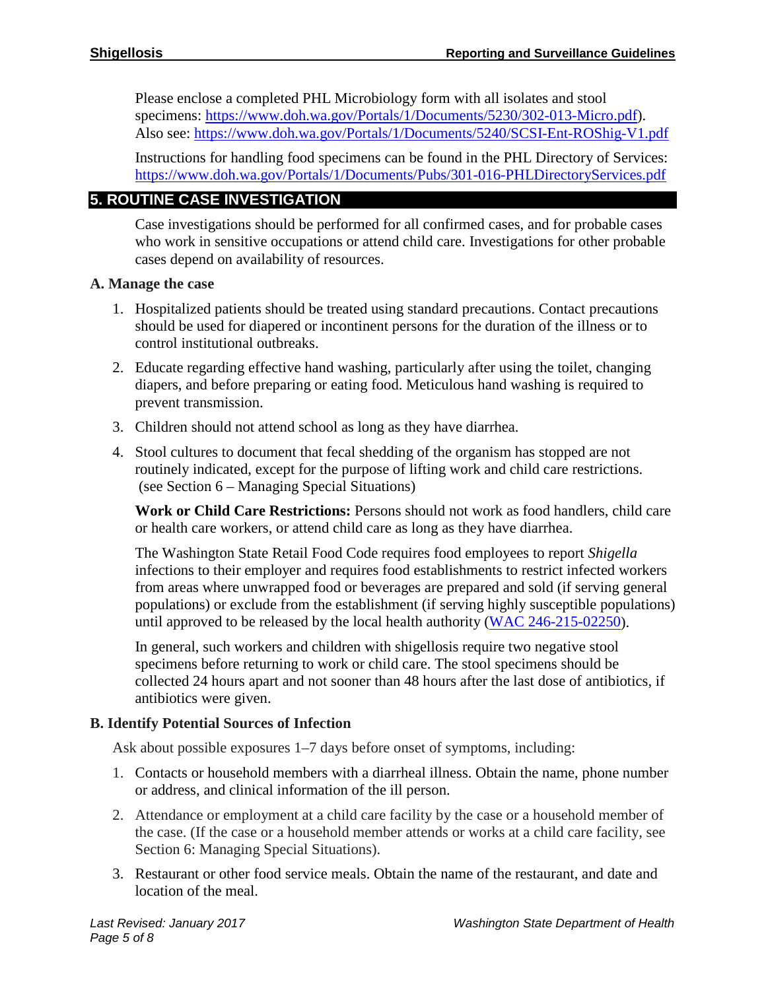Please enclose a completed PHL Microbiology form with all isolates and stool specimens: [https://www.doh.wa.gov/Portals/1/Documents/5230/302-013-Micro.pdf\)](https://www.doh.wa.gov/Portals/1/Documents/5230/302-013-Micro.pdf). Also see:<https://www.doh.wa.gov/Portals/1/Documents/5240/SCSI-Ent-ROShig-V1.pdf>

Instructions for handling food specimens can be found in the PHL Directory of Services: <https://www.doh.wa.gov/Portals/1/Documents/Pubs/301-016-PHLDirectoryServices.pdf>

# **5. ROUTINE CASE INVESTIGATION**

Case investigations should be performed for all confirmed cases, and for probable cases who work in sensitive occupations or attend child care. Investigations for other probable cases depend on availability of resources.

# **A. Manage the case**

- 1. Hospitalized patients should be treated using standard precautions. Contact precautions should be used for diapered or incontinent persons for the duration of the illness or to control institutional outbreaks.
- 2. Educate regarding effective hand washing, particularly after using the toilet, changing diapers, and before preparing or eating food. Meticulous hand washing is required to prevent transmission.
- 3. Children should not attend school as long as they have diarrhea.
- 4. Stool cultures to document that fecal shedding of the organism has stopped are not routinely indicated, except for the purpose of lifting work and child care restrictions. (see Section 6 – Managing Special Situations)

**Work or Child Care Restrictions:** Persons should not work as food handlers, child care or health care workers, or attend child care as long as they have diarrhea.

The Washington State Retail Food Code requires food employees to report *Shigella* infections to their employer and requires food establishments to restrict infected workers from areas where unwrapped food or beverages are prepared and sold (if serving general populations) or exclude from the establishment (if serving highly susceptible populations) until approved to be released by the local health authority [\(WAC 246-215-02250\)](https://app.leg.wa.gov/wac/default.aspx?cite=246-215-02250).

In general, such workers and children with shigellosis require two negative stool specimens before returning to work or child care. The stool specimens should be collected 24 hours apart and not sooner than 48 hours after the last dose of antibiotics, if antibiotics were given.

# **B. Identify Potential Sources of Infection**

Ask about possible exposures 1–7 days before onset of symptoms, including:

- 1. Contacts or household members with a diarrheal illness. Obtain the name, phone number or address, and clinical information of the ill person.
- 2. Attendance or employment at a child care facility by the case or a household member of the case. (If the case or a household member attends or works at a child care facility, see Section 6: Managing Special Situations).
- 3. Restaurant or other food service meals. Obtain the name of the restaurant, and date and location of the meal.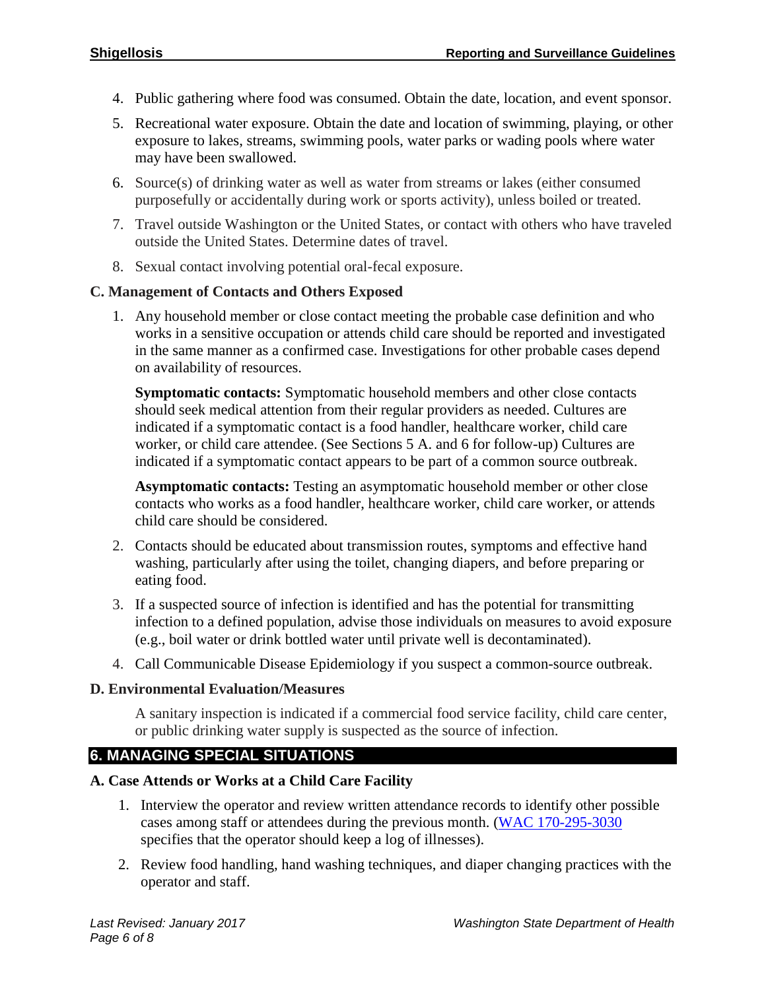- 4. Public gathering where food was consumed. Obtain the date, location, and event sponsor.
- 5. Recreational water exposure. Obtain the date and location of swimming, playing, or other exposure to lakes, streams, swimming pools, water parks or wading pools where water may have been swallowed.
- 6. Source(s) of drinking water as well as water from streams or lakes (either consumed purposefully or accidentally during work or sports activity), unless boiled or treated.
- 7. Travel outside Washington or the United States, or contact with others who have traveled outside the United States. Determine dates of travel.
- 8. Sexual contact involving potential oral-fecal exposure.

#### **C. Management of Contacts and Others Exposed**

1. Any household member or close contact meeting the probable case definition and who works in a sensitive occupation or attends child care should be reported and investigated in the same manner as a confirmed case. Investigations for other probable cases depend on availability of resources.

**Symptomatic contacts:** Symptomatic household members and other close contacts should seek medical attention from their regular providers as needed. Cultures are indicated if a symptomatic contact is a food handler, healthcare worker, child care worker, or child care attendee. (See Sections 5 A. and 6 for follow-up) Cultures are indicated if a symptomatic contact appears to be part of a common source outbreak.

**Asymptomatic contacts:** Testing an asymptomatic household member or other close contacts who works as a food handler, healthcare worker, child care worker, or attends child care should be considered.

- 2. Contacts should be educated about transmission routes, symptoms and effective hand washing, particularly after using the toilet, changing diapers, and before preparing or eating food.
- 3. If a suspected source of infection is identified and has the potential for transmitting infection to a defined population, advise those individuals on measures to avoid exposure (e.g., boil water or drink bottled water until private well is decontaminated).
- 4. Call Communicable Disease Epidemiology if you suspect a common-source outbreak.

# **D. Environmental Evaluation/Measures**

A sanitary inspection is indicated if a commercial food service facility, child care center, or public drinking water supply is suspected as the source of infection.

# **6. MANAGING SPECIAL SITUATIONS**

# **A. Case Attends or Works at a Child Care Facility**

- 1. Interview the operator and review written attendance records to identify other possible cases among staff or attendees during the previous month. (WAC [170-295-3030](https://app.leg.wa.gov/wac/default.aspx?cite=170-295-3030) specifies that the operator should keep a log of illnesses).
- 2. Review food handling, hand washing techniques, and diaper changing practices with the operator and staff.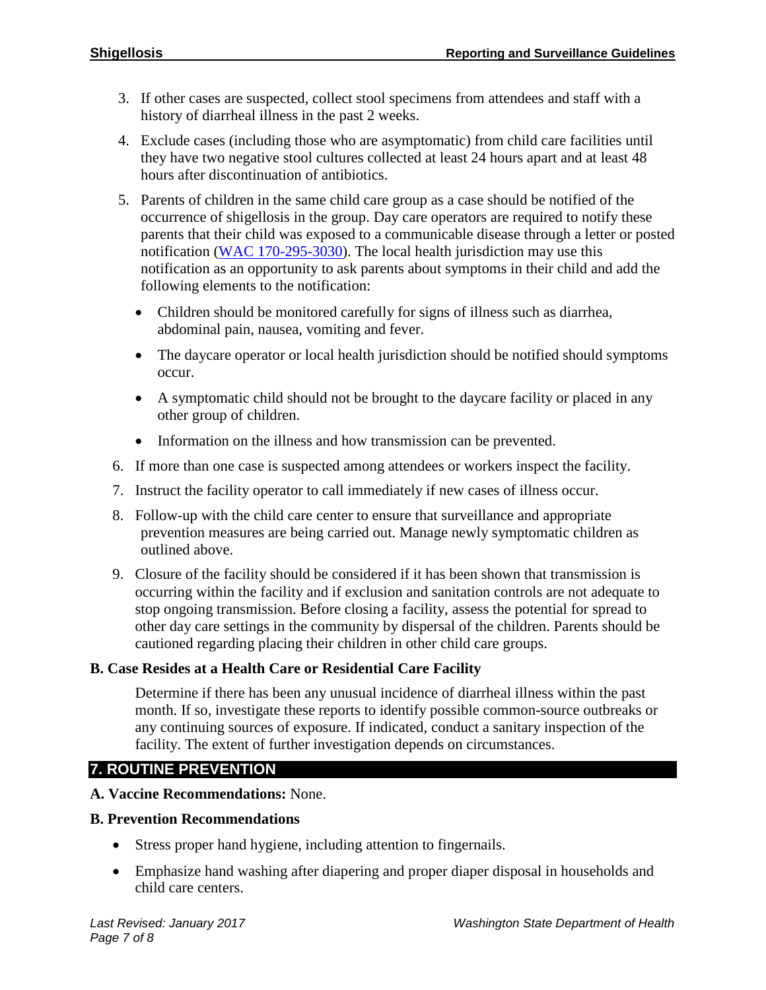- 3. If other cases are suspected, collect stool specimens from attendees and staff with a history of diarrheal illness in the past 2 weeks.
- 4. Exclude cases (including those who are asymptomatic) from child care facilities until they have two negative stool cultures collected at least 24 hours apart and at least 48 hours after discontinuation of antibiotics.
- 5. Parents of children in the same child care group as a case should be notified of the occurrence of shigellosis in the group. Day care operators are required to notify these parents that their child was exposed to a communicable disease through a letter or posted notification [\(WAC 170-295-3030\)](https://app.leg.wa.gov/wac/default.aspx?cite=170-295-3030). The local health jurisdiction may use this notification as an opportunity to ask parents about symptoms in their child and add the following elements to the notification:
	- Children should be monitored carefully for signs of illness such as diarrhea, abdominal pain, nausea, vomiting and fever.
	- The daycare operator or local health jurisdiction should be notified should symptoms occur.
	- A symptomatic child should not be brought to the daycare facility or placed in any other group of children.
	- Information on the illness and how transmission can be prevented.
- 6. If more than one case is suspected among attendees or workers inspect the facility.
- 7. Instruct the facility operator to call immediately if new cases of illness occur.
- 8. Follow-up with the child care center to ensure that surveillance and appropriate prevention measures are being carried out. Manage newly symptomatic children as outlined above.
- 9. Closure of the facility should be considered if it has been shown that transmission is occurring within the facility and if exclusion and sanitation controls are not adequate to stop ongoing transmission. Before closing a facility, assess the potential for spread to other day care settings in the community by dispersal of the children. Parents should be cautioned regarding placing their children in other child care groups.

# **B. Case Resides at a Health Care or Residential Care Facility**

Determine if there has been any unusual incidence of diarrheal illness within the past month. If so, investigate these reports to identify possible common-source outbreaks or any continuing sources of exposure. If indicated, conduct a sanitary inspection of the facility. The extent of further investigation depends on circumstances.

# **7. ROUTINE PREVENTION**

**A. Vaccine Recommendations:** None.

# **B. Prevention Recommendations**

- Stress proper hand hygiene, including attention to fingernails.
- Emphasize hand washing after diapering and proper diaper disposal in households and child care centers.